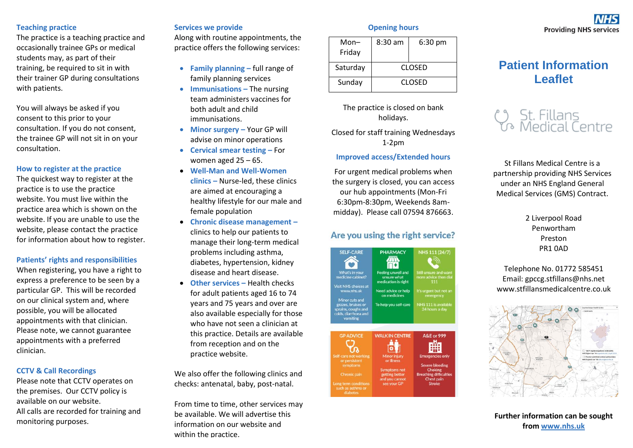#### **Teaching practice**

The practice is a teaching practice and occasionally trainee GPs or medical students may, as part of their training, be required to sit in with their trainer GP during consultations with patients.

You will always be asked if you consent to this prior to your consultation. If you do not consent, the trainee GP will not sit in on your consultation.

#### **How to register at the practice**

The quickest way to register at the practice is to use the practice website. You must live within the practice area which is shown on the website. If you are unable to use the website, please contact the practice for information about how to register.

**Patients' rights and responsibilities**

When registering, you have a right to express a preference to be seen by a particular GP. This will be recorded on our clinical system and, where possible, you will be allocated appointments with that clinician. Please note, we cannot guarantee appointments with a preferred clinician.

#### **CCTV & Call Recordings**

Please note that CCTV operates on the premises. Our CCTV policy is available on our website. All calls are recorded for training and monitoring purposes.

#### **Services we provide**

Along with routine appointments, the practice offers the following services:

- **Family planning –** full range of family planning services
- **Immunisations –** The nursing team administers vaccines for both adult and child immunisations.
- **Minor surgery –** Your GP will advise on minor operations
- **Cervical smear testing –** For women aged 25 – 65.
- **Well-Man and Well-Women clinics –** Nurse-led, these clinics are aimed at encouraging a healthy lifestyle for our male and female population
- **Chronic disease management –** clinics to help our patients to manage their long-term medical problems including asthma, diabetes, hypertension, kidney disease and heart disease.
- **Other services –** Health checks for adult patients aged 16 to 74 years and 75 years and over are also available especially for those who have not seen a clinician at this practice. Details are available from reception and on the practice website.

We also offer the following clinics and checks: antenatal, baby, post-natal.

From time to time, other services may be available. We will advertise this information on our website and within the practice.

#### **Opening hours**

| Mon–<br>Friday | $8:30$ am     | $6:30 \text{ pm}$ |
|----------------|---------------|-------------------|
| Saturday       | <b>CLOSED</b> |                   |
| Sunday         | CLOSED        |                   |

The practice is closed on bank holidays.

Closed for staff training Wednesdays 1-2pm

#### **Improved access/Extended hours**

For urgent medical problems when the surgery is closed, you can access our hub appointments (Mon-Fri 6:30pm-8:30pm, Weekends 8ammidday). Please call 07594 876663.

# Are you using the right service?



# **Providing NHS services**

# **Patient Information Leaflet**



St Fillans Medical Centre is a partnership providing NHS Services under an NHS England General Medical Services (GMS) Contract.

> 2 Liverpool Road Penwortham Preston PR1 0AD

Telephone No. 01772 585451 Email: gpccg.stfillans@nhs.net www.stfillansmedicalcentre.co.uk



**Further information can be sought from [www.nhs.uk](http://www.nhs.uk/)**